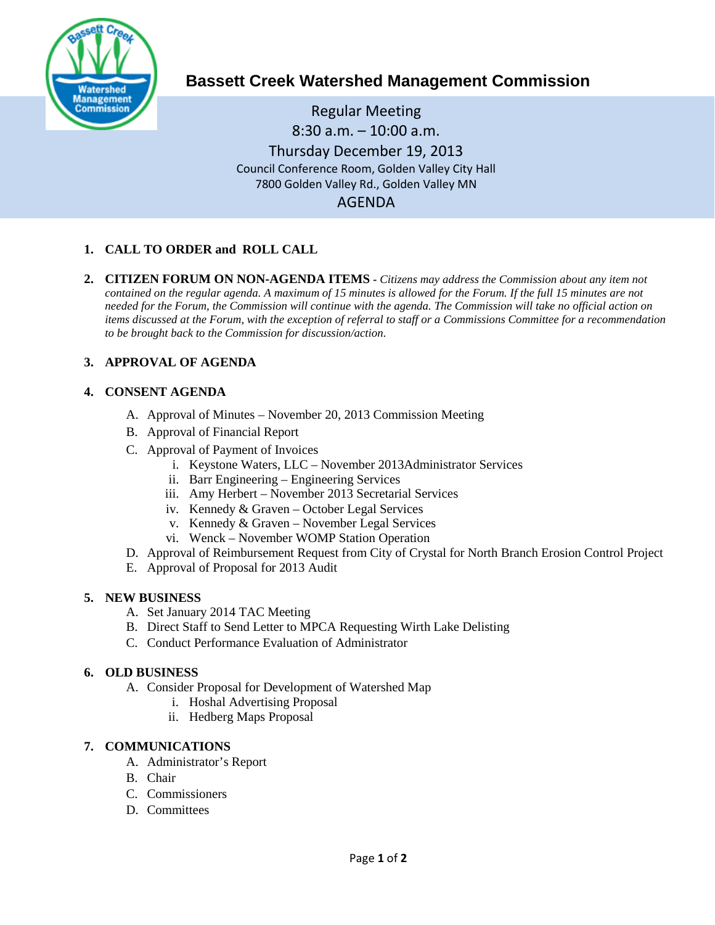

# **Bassett Creek Watershed Management Commission**

Regular Meeting 8:30 a.m. – 10:00 a.m. Thursday December 19, 2013 Council Conference Room, Golden Valley City Hall 7800 Golden Valley Rd., Golden Valley MN AGENDA

# **1. CALL TO ORDER and ROLL CALL**

**2. CITIZEN FORUM ON NON-AGENDA ITEMS -** *Citizens may address the Commission about any item not contained on the regular agenda. A maximum of 15 minutes is allowed for the Forum. If the full 15 minutes are not needed for the Forum, the Commission will continue with the agenda. The Commission will take no official action on items discussed at the Forum, with the exception of referral to staff or a Commissions Committee for a recommendation to be brought back to the Commission for discussion/action.*

# **3. APPROVAL OF AGENDA**

## **4. CONSENT AGENDA**

- A. Approval of Minutes November 20, 2013 Commission Meeting
- B. Approval of Financial Report
- C. Approval of Payment of Invoices
	- i. Keystone Waters, LLC November 2013Administrator Services
	- ii. Barr Engineering Engineering Services
	- iii. Amy Herbert November 2013 Secretarial Services
	- iv. Kennedy & Graven October Legal Services
	- v. Kennedy & Graven November Legal Services
	- vi. Wenck November WOMP Station Operation
- D. Approval of Reimbursement Request from City of Crystal for North Branch Erosion Control Project
- E. Approval of Proposal for 2013 Audit

## **5. NEW BUSINESS**

- A. Set January 2014 TAC Meeting
- B. Direct Staff to Send Letter to MPCA Requesting Wirth Lake Delisting
- C. Conduct Performance Evaluation of Administrator

#### **6. OLD BUSINESS**

- A. Consider Proposal for Development of Watershed Map
	- i. Hoshal Advertising Proposal
	- ii. Hedberg Maps Proposal

## **7. COMMUNICATIONS**

- A. Administrator's Report
- B. Chair
- C. Commissioners
- D. Committees